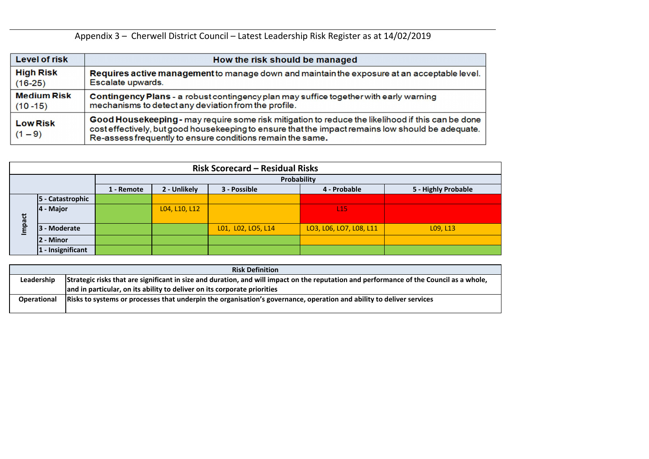|                    | <b>Risk Definition</b>                                                                                                                  |
|--------------------|-----------------------------------------------------------------------------------------------------------------------------------------|
| Leadership         | Strategic risks that are significant in size and duration, and will impact on the reputation and performance of the Council as a whole, |
|                    | and in particular, on its ability to deliver on its corporate priorities                                                                |
| <b>Operational</b> | Risks to systems or processes that underpin the organisation's governance, operation and ability to deliver services                    |
|                    |                                                                                                                                         |



Appendix 3 – Cherwell District Council – Latest Leadership Risk Register as at 14/02/2019

| <b>Level of risk</b>         | How the risk should be managed                                                                                                                                                                                                                                       |
|------------------------------|----------------------------------------------------------------------------------------------------------------------------------------------------------------------------------------------------------------------------------------------------------------------|
| <b>High Risk</b>             | Requires active management to manage down and maintain the exposure at an acceptable level.                                                                                                                                                                          |
| $(16-25)$                    | Escalate upwards.                                                                                                                                                                                                                                                    |
| <b>Medium Risk</b>           | Contingency Plans - a robust contingency plan may suffice together with early warning                                                                                                                                                                                |
| $(10 - 15)$                  | mechanisms to detect any deviation from the profile.                                                                                                                                                                                                                 |
| <b>Low Risk</b><br>$(1 - 9)$ | Good Housekeeping - may require some risk mitigation to reduce the likelihood if this can be done<br>cost effectively, but good housekeeping to ensure that the impact remains low should be adequate.<br>Re-assess frequently to ensure conditions remain the same. |

|        |                      |            |               | <b>Risk Scorecard - Residual Risks</b> |                         |                     |
|--------|----------------------|------------|---------------|----------------------------------------|-------------------------|---------------------|
|        |                      |            |               | Probability                            |                         |                     |
|        |                      | 1 - Remote | 2 - Unlikely  | 3 - Possible                           | 4 - Probable            | 5 - Highly Probable |
|        | 5 - Catastrophic     |            |               |                                        |                         |                     |
|        | $ 4 -$ Major         |            | L04, L10, L12 |                                        | L <sub>15</sub>         |                     |
| Impact | 3 - Moderate         |            |               | L01, L02, LO5, L14                     | LO3, L06, LO7, L08, L11 | L09, L13            |
|        | 2 - Minor            |            |               |                                        |                         |                     |
|        | $ 1 -$ Insignificant |            |               |                                        |                         |                     |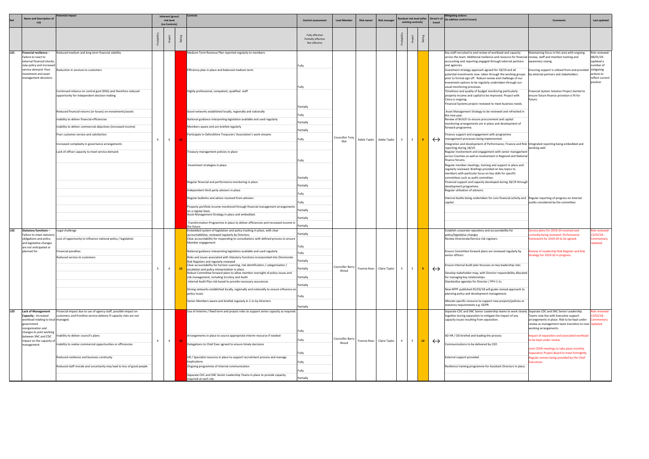|            | Name and Description of                                                                                                                                                                                                                                                                                                                                                          | otential impact                                                                                                                                                                                                                                                                                                                                                                                                                                                                                                                        |                                | Inherent (gross)<br>risk level   |    | Controls                                                                                                                                                                                                                                                                                                                                                                                                                                                                                                                                                                                                                                                                                                                                                                                                                                                                                                                                                                                                                                                                                                                                                                                                                                                                                                                                                   | <b>Control assessment</b>                                                                                                                                           | <b>Lead Member</b>                                   | <b>Risk owner</b> | <b>Risk manager</b>                                    |                | esidual risk level (after                 |         |                                        | <b>Mitigating actions</b><br>Direct'n of (to address control issues)                                                                                                                                                                                                                                                                                                                                                                                                                                                                                                                                                                                                                                                                                                                                                                                                                                                                                                                                                                                                                                                                                                                                                                                                                                                                                                                                                                                                                                                                                                                                                                                                                                                                                                                                                                                                                    | <b>Comments</b>                                                                                                                                                                                                                                                                                                                                                                                                                                                                                                                                                                                                         | Last updated                                                                                                      |
|------------|----------------------------------------------------------------------------------------------------------------------------------------------------------------------------------------------------------------------------------------------------------------------------------------------------------------------------------------------------------------------------------|----------------------------------------------------------------------------------------------------------------------------------------------------------------------------------------------------------------------------------------------------------------------------------------------------------------------------------------------------------------------------------------------------------------------------------------------------------------------------------------------------------------------------------------|--------------------------------|----------------------------------|----|------------------------------------------------------------------------------------------------------------------------------------------------------------------------------------------------------------------------------------------------------------------------------------------------------------------------------------------------------------------------------------------------------------------------------------------------------------------------------------------------------------------------------------------------------------------------------------------------------------------------------------------------------------------------------------------------------------------------------------------------------------------------------------------------------------------------------------------------------------------------------------------------------------------------------------------------------------------------------------------------------------------------------------------------------------------------------------------------------------------------------------------------------------------------------------------------------------------------------------------------------------------------------------------------------------------------------------------------------------|---------------------------------------------------------------------------------------------------------------------------------------------------------------------|------------------------------------------------------|-------------------|--------------------------------------------------------|----------------|-------------------------------------------|---------|----------------------------------------|-----------------------------------------------------------------------------------------------------------------------------------------------------------------------------------------------------------------------------------------------------------------------------------------------------------------------------------------------------------------------------------------------------------------------------------------------------------------------------------------------------------------------------------------------------------------------------------------------------------------------------------------------------------------------------------------------------------------------------------------------------------------------------------------------------------------------------------------------------------------------------------------------------------------------------------------------------------------------------------------------------------------------------------------------------------------------------------------------------------------------------------------------------------------------------------------------------------------------------------------------------------------------------------------------------------------------------------------------------------------------------------------------------------------------------------------------------------------------------------------------------------------------------------------------------------------------------------------------------------------------------------------------------------------------------------------------------------------------------------------------------------------------------------------------------------------------------------------------------------------------------------------|-------------------------------------------------------------------------------------------------------------------------------------------------------------------------------------------------------------------------------------------------------------------------------------------------------------------------------------------------------------------------------------------------------------------------------------------------------------------------------------------------------------------------------------------------------------------------------------------------------------------------|-------------------------------------------------------------------------------------------------------------------|
|            |                                                                                                                                                                                                                                                                                                                                                                                  |                                                                                                                                                                                                                                                                                                                                                                                                                                                                                                                                        |                                | (no Controls)                    |    |                                                                                                                                                                                                                                                                                                                                                                                                                                                                                                                                                                                                                                                                                                                                                                                                                                                                                                                                                                                                                                                                                                                                                                                                                                                                                                                                                            |                                                                                                                                                                     |                                                      |                   |                                                        |                | existing controls)                        |         | travel                                 |                                                                                                                                                                                                                                                                                                                                                                                                                                                                                                                                                                                                                                                                                                                                                                                                                                                                                                                                                                                                                                                                                                                                                                                                                                                                                                                                                                                                                                                                                                                                                                                                                                                                                                                                                                                                                                                                                         |                                                                                                                                                                                                                                                                                                                                                                                                                                                                                                                                                                                                                         |                                                                                                                   |
|            |                                                                                                                                                                                                                                                                                                                                                                                  |                                                                                                                                                                                                                                                                                                                                                                                                                                                                                                                                        |                                |                                  |    |                                                                                                                                                                                                                                                                                                                                                                                                                                                                                                                                                                                                                                                                                                                                                                                                                                                                                                                                                                                                                                                                                                                                                                                                                                                                                                                                                            | Fully effective<br>Partially effective<br>Not effective                                                                                                             |                                                      |                   |                                                        |                |                                           |         |                                        |                                                                                                                                                                                                                                                                                                                                                                                                                                                                                                                                                                                                                                                                                                                                                                                                                                                                                                                                                                                                                                                                                                                                                                                                                                                                                                                                                                                                                                                                                                                                                                                                                                                                                                                                                                                                                                                                                         |                                                                                                                                                                                                                                                                                                                                                                                                                                                                                                                                                                                                                         |                                                                                                                   |
| <b>LO1</b> | Financial resilience -<br>Failure to react to<br>external financial shocks,<br>new policy and increased<br>service demand. Poor<br>investment and asset<br>management decisions.                                                                                                                                                                                                 | Reduced medium and long term financial viability<br>Reduction in services to customers<br>Continued reliance on central govt (RSG) and therefore reduced<br>opportunity for independent decision making<br>Reduced financial returns (or losses) on investments/assets<br>Inability to deliver financial efficiencies<br>Inability to deliver commercial objectives (increased income)<br>Poor customer service and satisfaction<br>Increased complexity in governance arrangements<br>Lack of officer capacity to meet service demand | $\overline{4}$                 | $\overline{4}$                   |    | Medium Term Revenue Plan reported regularly to members.<br>Efficiency plan in place and balanced medium term<br>Highly professional, competent, qualified staff<br>Good networks established locally, regionally and nationally<br>National guidance interpreting legislation available and used regularly<br>Members aware and are briefed regularly<br>Participate in Oxfordshire Treasurers' Association's work streams<br>Treasury management policies in place<br>Investment strategies in place<br>Regular financial and performance monitoring in place<br>Independent third party advisers in place<br>Regular bulletins and advice received from advisers<br>Property portfolio income monitored through financial management arrangements<br>on a regular basis<br>Asset Management Strategy in place and embedded.<br>Transformation Programme in place to deliver efficiencies and increased income in<br>the future                                                                                                                                                                                                                                                                                                                                                                                                                           | Fully<br>Fully<br>Partially<br>Fully<br>Partially<br>Partially<br>Fully<br>Fully<br>Partially<br>Partially<br>Fully<br>Fully<br>Partially<br>Partially<br>Partially | Councillor Ton<br>Illot                              | Adele Taylor      | Adele Taylor                                           |                | $\overline{\mathbf{3}}$                   |         | $\leftrightarrow$                      | Key staff recruited to and review of workload and capacity<br>across the team. Additional resilience and resource for financial review, staff and member training and<br>accounting and reporting engaged through external partners<br>and agencies.<br>Investment strategy approach agreed for 18/19 and all<br>potential investments now taken through the working groups   by external partners and stakeholders.<br>prior to formal sign off. Robust review and challenge of our<br>investment options to be regularly undertaken through our<br>usual monitoring processes.<br>Timeliness and quality of budget monitoring particularly<br>property income and capital to be improved. Project with<br>Civica is ongoing.<br>Financial Systems project reviewed to meet business needs.<br>Asset Management Strategy to be reviewed and refreshed in<br>the new year.<br>Review of BUILD! to ensure procurement and capital<br>monitoring arrangements are in place and development of<br>forward programme.<br>inance support and engagement with programme<br>management processes being implemented.<br>Integration and development of Performance, Finance and Risk Integrated reporting being embedded and<br>reporting during 18/19.<br>Regular involvement and engagement with senior management<br>across Counties as well as involvement in Regional and National<br>finance forums.<br>Regular member meetings, training and support in place and<br>regularly reviewed. Briefings provided on key topics to<br>members with particular focus on key skills for specific<br>committees such as audit committee.<br>Financial support and capacity developed during 18/19 through<br>development programme.<br>Regular utilisation of advisors.<br>Internal Audits being undertaken for core financial activity and Regular reporting of progress on internal<br>capital. | Maintaining focus in this area with ongoing<br>awareness raising.<br>Ensuring support is utilised from and provided<br>Financial System Solution Project started to<br>ensure future finance provision is fit for<br>future.<br>working well.<br>audits considered by the committee                                                                                                                                                                                                                                                                                                                                     | Risk reviewed -<br>08/01/19-<br>updated a<br>number of<br>mitigating<br>actions to<br>reflect current<br>position |
| L02<br>L03 | Statutory functions -<br>Failure to meet statutory<br>obligations and policy<br>and legislative changes<br>are not anticipated or<br>planned for.<br><b>Lack of Management</b><br>Capacity - Increased<br>workload relating to local managed.<br>government<br>reorganisation and<br>changes to joint working<br>between SNC and CDC<br>impact on the capacity of<br>management. | Legal challenge<br>oss of opportunity to influence national policy / legislation<br>Financial penalties<br>Reduced service to customers<br>Financial impact due to use of agency staff, possible impact on<br>customers and frontline service delivery if capacity risks are not<br>nability to deliver council's plans<br>Inability to realise commercial opportunities or efficiencies<br>Reduced resilience and business continuity<br>Reduced staff morale and uncertainty may lead to loss of good people                         | $\mathbf{3}$<br>$\overline{4}$ | $\overline{4}$<br>$\overline{4}$ | 12 | Embedded system of legislation and policy tracking In place, with clear<br>accountabilities, reviewed regularly by Directors<br>Clear accountability for responding to consultations with defined process to ensure<br>Member engagement<br>National guidance interpreting legislation available and used regularly<br>Risks and issues associated with Statutory functions incorporated into Directorate<br>Risk Registers and regularly reviewed<br>Clear accountability for horizon scanning, risk identification / categorisation /<br>escalation and policy interpretation in place<br>Robust Committee forward plans to allow member oversight of policy issues and<br>risk management, including Scrutiny and Audit<br>Internal Audit Plan risk based to provide necessary assurances<br>Strong networks established locally, regionally and nationally to ensure influence on<br>policy issues<br>Senior Members aware and briefed regularly in 1:1s by Directors<br>Use of interims / fixed term and project roles to support senior capacity as required.<br>Arrangements in place to source appropriate interim resource if needed<br>Delegations to Chief Exec agreed to ensure timely decisions<br>HR / Specialist resource in place to support recruitment process and manage<br>implications<br>Ongoing programme of internal communication | Partially<br>Fully<br>Fully<br>Partially<br>Partially<br>Partially<br>Partially<br>Fully<br>Partially<br>Fully<br>Fully<br>Fully<br>Fully                           | Councillor Barry<br>Wood<br>Councillor Barry<br>Wood |                   | Yvonne Rees Claire Taylor<br>Yvonne Rees Claire Taylor | $\overline{4}$ | $\overline{\mathbf{3}}$<br>3 <sup>1</sup> | 9<br>12 | $\leftrightarrow$<br>$\leftrightarrow$ | Establish corporate repository and accountability for<br>policy/legislative changes<br>Review Directorate/Service risk registers<br>Ensure Committee forward plans are reviewed regularly by<br>senior officers<br>nsure Internal Audit plan focusses on key leadership risks<br>Develop stakeholder map, with Director responsibility allocated<br>for managing key relationships<br>Standardise agendas for Director / PFH 1:1s<br>New NPPF published 05/03/18 will guide revised approach to<br>planning policy and development management.<br>Allocate specific resource to support new projects/policies or<br>statutory requirements e.g. GDPR<br>Separate CDC and SNC Senior Leadership teams to work closely Separate CDC and SNC Senior Leadership<br>together during separation to mitigate the impact of any<br>capacity issues resulting from separation.<br>AD HR / OD briefed and leading the process<br>Communications to be delivered by CEO<br>External support provided.<br>Resilience training programme for Assistant Directors in place.                                                                                                                                                                                                                                                                                                                                                                                                                                                                                                                                                                                                                                                                                                                                                                                                                           | Service plans for 2019-20 received and<br>urrently being reviewed. Performance:<br>framework for 2019-20 to be agreed.<br>Review of Leadership Risk Register and Risk<br>Strategy for 2019-20 in progress.<br>Teams now live with Executive support<br>arrangements in place. Risk to be kept under<br>review as management team transition to new Updated.<br>working arrangements.<br>mpact of separation and associated workload<br>o be kept under review.<br>loint CEDR meetings to take place monthly.<br>Separation Project Board to meet fortnightly.<br>Regular comms being provided by the Chief<br>xecutives | isk reviewed<br>$3/02/18 -$<br>ommentary<br>pdated.<br>isk reviewed<br>3/02/18 -<br><b>mmentary</b>               |
|            |                                                                                                                                                                                                                                                                                                                                                                                  |                                                                                                                                                                                                                                                                                                                                                                                                                                                                                                                                        |                                |                                  |    | Separate CDC and SNC Senior Leadership Teams in place to provide capacity<br>required at each site.                                                                                                                                                                                                                                                                                                                                                                                                                                                                                                                                                                                                                                                                                                                                                                                                                                                                                                                                                                                                                                                                                                                                                                                                                                                        | Fully<br>Partially                                                                                                                                                  |                                                      |                   |                                                        |                |                                           |         |                                        |                                                                                                                                                                                                                                                                                                                                                                                                                                                                                                                                                                                                                                                                                                                                                                                                                                                                                                                                                                                                                                                                                                                                                                                                                                                                                                                                                                                                                                                                                                                                                                                                                                                                                                                                                                                                                                                                                         |                                                                                                                                                                                                                                                                                                                                                                                                                                                                                                                                                                                                                         |                                                                                                                   |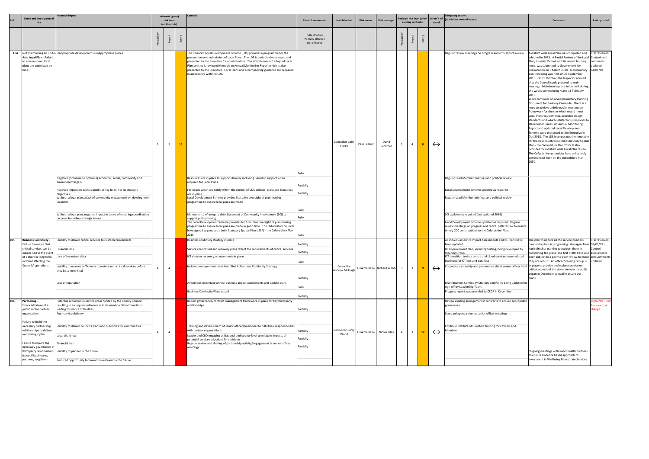|            | <b>Name and Description of</b>                                                                                                                                                                                  | tential impact                                                                                                                                                                                                                                                           | Inherent (gross)<br>risk level |                |    | Controls                                                                                                                                                                                                                                                                                                                                                                                                                                         |                                                                    |                                   |                   |                            |                | esidual risk level (after |    | Direct'n of       | <b>Mitigating actions</b><br>(to address control issues)                                                                                                                                                                                                                                                                                                                                                                                                                                        | <b>Comments</b>                                                                                                                                                                                                                                                                                                                                                                                                                                                                                                                                                                                                                                                                                                                                                                                                                                                                                                                                                                                                                                                                                                                                                                                                                             | Last updated                           |
|------------|-----------------------------------------------------------------------------------------------------------------------------------------------------------------------------------------------------------------|--------------------------------------------------------------------------------------------------------------------------------------------------------------------------------------------------------------------------------------------------------------------------|--------------------------------|----------------|----|--------------------------------------------------------------------------------------------------------------------------------------------------------------------------------------------------------------------------------------------------------------------------------------------------------------------------------------------------------------------------------------------------------------------------------------------------|--------------------------------------------------------------------|-----------------------------------|-------------------|----------------------------|----------------|---------------------------|----|-------------------|-------------------------------------------------------------------------------------------------------------------------------------------------------------------------------------------------------------------------------------------------------------------------------------------------------------------------------------------------------------------------------------------------------------------------------------------------------------------------------------------------|---------------------------------------------------------------------------------------------------------------------------------------------------------------------------------------------------------------------------------------------------------------------------------------------------------------------------------------------------------------------------------------------------------------------------------------------------------------------------------------------------------------------------------------------------------------------------------------------------------------------------------------------------------------------------------------------------------------------------------------------------------------------------------------------------------------------------------------------------------------------------------------------------------------------------------------------------------------------------------------------------------------------------------------------------------------------------------------------------------------------------------------------------------------------------------------------------------------------------------------------|----------------------------------------|
|            |                                                                                                                                                                                                                 |                                                                                                                                                                                                                                                                          |                                | (no Controls)  |    |                                                                                                                                                                                                                                                                                                                                                                                                                                                  | <b>Control assessment</b>                                          | <b>Lead Member</b>                | <b>Risk owner</b> | <b>Risk manager</b>        |                | existing controls)        |    | travel            |                                                                                                                                                                                                                                                                                                                                                                                                                                                                                                 |                                                                                                                                                                                                                                                                                                                                                                                                                                                                                                                                                                                                                                                                                                                                                                                                                                                                                                                                                                                                                                                                                                                                                                                                                                             |                                        |
|            |                                                                                                                                                                                                                 |                                                                                                                                                                                                                                                                          |                                |                |    |                                                                                                                                                                                                                                                                                                                                                                                                                                                  | Fully effective<br>Partially effective<br>Not effective            |                                   |                   |                            |                |                           |    |                   |                                                                                                                                                                                                                                                                                                                                                                                                                                                                                                 |                                                                                                                                                                                                                                                                                                                                                                                                                                                                                                                                                                                                                                                                                                                                                                                                                                                                                                                                                                                                                                                                                                                                                                                                                                             |                                        |
|            | date Local Plan - Failure<br>to ensure sound local<br>plans are submitted on<br>time.                                                                                                                           | LO4 Not maintaining an up-to-Inappropriate development in inappropriate places                                                                                                                                                                                           |                                | - 5            | 15 | The Council's Local Development Scheme (LDS) provides a programme for the<br>preparation and submission of Local Plans. The LDS is periodically reviewed and<br>presented to the Executive for consideration. The effectiveness of adopted Local<br>Plan policies is reviewed through an Annual Monitoring Report which is also<br>presented to the Executive. Local Plans and accompanying guidance are prepared<br>in accordance with the LDS. | Fully                                                              | <b>Councillor Colin</b><br>Clarke | Paul Feehily      | David<br>Peckford          | $\overline{2}$ | $\overline{4}$            | -8 | $\leftrightarrow$ | Regular review meetings on progress and critical path review.                                                                                                                                                                                                                                                                                                                                                                                                                                   | A district wide Local Plan was completed and Risk reviewed,<br>adopted in 2015. A Partial Review of the Local Controls and<br>Plan, to assist Oxford with its unmet housing<br>need, was submitted to Government for<br>Examination on 5 March 2018. A preliminary 04/01/19<br>public hearing was held on 28 September<br>2018. On 29 October, the Inspector advised<br>that the Council could proceed to main<br>hearings. Main hearings are to be held during<br>the weeks commencing 4 and 11 February<br>2019.<br>Work continues on a Supplementary Planning<br>Document for Banbury Canalside. There is a<br>need to achieve a deliverable, masterplan<br>framework for the site which would meet<br>Local Plan requirements, expected design<br>standards and which satisfactorily responds to<br>stakeholder issues. An Annual Monitoring<br>Report and updated Local Development<br>Scheme were presented to the Executive in<br>Dec 2018. The LDS incorporates the timetable<br>for the new countywide Joint Statutory Spatial<br>Plan - the Oxfordshire Plan 2050. It also<br>provides for a district wide Local Plan review.<br>The Oxfordshire authorities have collectively<br>commenced work on the Oxfordshire Plan<br>2050. | comments<br>pdated                     |
|            |                                                                                                                                                                                                                 | Negative (or failure to optimise) economic, social, community and<br>environmental gain<br>Negative impact on each council's ability to deliver its strategic<br>objectives<br>Without a local plan, a lack of community engagement on development<br>locations          |                                |                |    | Resources are in place to support delivery including Barrister support when<br>required for Local Plans.<br>For issues which are solely within the control of CDC policies, plans and resources<br>are in place<br>Local Development Scheme provides Executive oversight of plan-making<br>programme to ensure local plans are made                                                                                                              | Partially<br>Partially                                             |                                   |                   |                            |                |                           |    |                   | Regular Lead Member briefings and political review<br>Local Development Scheme updated as required<br>Regular Lead Member briefings and political review                                                                                                                                                                                                                                                                                                                                        |                                                                                                                                                                                                                                                                                                                                                                                                                                                                                                                                                                                                                                                                                                                                                                                                                                                                                                                                                                                                                                                                                                                                                                                                                                             |                                        |
|            |                                                                                                                                                                                                                 | Without a local plan, negative impact in terms of ensuring coordination<br>on cross boundary strategic issues                                                                                                                                                            |                                |                |    | Maintenance of an up to date Statement of Community Involvement (SCI) to<br>support policy making.<br>The Local Development Scheme provides for Executive oversight of plan-making<br>programme to ensure local plans are made in good time. The Oxfordshire councils<br>have agreed to produce a Joint Statutory Spatial Plan (JSSP) - the Oxfordshire Plan<br>2015                                                                             |                                                                    |                                   |                   |                            |                |                           |    |                   | SCI updated as required (last updated 2016)<br>Local Development Scheme updated as required. Regular<br>review meetings on progress and critical path review to ensure<br>timely CDC contributions to the Oxfordshire Plan.                                                                                                                                                                                                                                                                     |                                                                                                                                                                                                                                                                                                                                                                                                                                                                                                                                                                                                                                                                                                                                                                                                                                                                                                                                                                                                                                                                                                                                                                                                                                             |                                        |
| <b>LO5</b> | <b>Business Continuity</b><br>Failure to ensure that<br>critical services can be<br>maintained in the event<br>of a short or long term Loss of important data<br>incident affecting the<br>Councils' operations | Inability to deliver critical services to customers/residents<br>Financial loss<br>Inability to recover sufficiently to restore non-critical services before<br>they become critical<br>Loss of reputation                                                               | $\overline{4}$                 | $\overline{4}$ |    | Business continuity strategy in place<br>Services prioritised and recovery plans reflect the requirements of critical services<br>ICT disaster recovery arrangements in place<br>Incident management team identified in Business Continuity Strategy<br>All services undertake annual business impact assessments and update plans<br><b>Business Continuity Plans tested</b>                                                                    | Partially<br>Partially<br>Fully<br>Partially<br>Fully<br>Partially | Councillor<br>Andrew McHugh       |                   | Graeme Kane Richard Webb 3 |                | $\overline{\mathbf{3}}$   | -9 | $\leftrightarrow$ | All individual service Impact Assessments and BC Plans have<br>been updated.<br>BC Improvement plan, including testing, being developed by<br>Steering Groun<br>ICT transition to data centre and cloud services have reduced<br>likelihood of ICT loss and data loss<br>Corporate ownership and governance sits at senior officer level<br>Draft Business Continuity Strategy and Policy being updated for<br>sign-off by Leadership Team.<br>Progress report was provided to CEDR in December | The plan to update all the service business<br>ontinuity plans is progressing. Managers have 08/01/19 -<br>had refresher training to support them in<br>completing the plans. The first drafts have also assessments<br>been subject to a peer to peer review to check and Comments<br>they are robust. An officer Steering Group is updated.<br>in place to provide professional advice on<br>critical aspects of the plans. An internal audit<br>began in December to quality assure our<br>plans.                                                                                                                                                                                                                                                                                                                                                                                                                                                                                                                                                                                                                                                                                                                                        | Risk reviewed                          |
| L06        | Partnering -<br>Financial failure of a<br>public sector partner<br>organisation<br>Failure to build the<br>necessary partnership<br>relationships to deliver<br>our strategic plan.                             | Potential reduction in service areas funded by the County Council<br>resulting in an unplanned increase in demand on district functions<br>leading to service difficulties.<br>Poor service delivery<br>nability to deliver council's plans and outcomes for communities | $\overline{4}$                 | $\overline{4}$ |    | Robust governance/contract management framework in place for key third party<br>relationships<br>Training and development of senior officers/members to fulfil their responsibilities<br>with partner organisations                                                                                                                                                                                                                              | Partially<br>Partially                                             | <b>Councillor Barry</b><br>Wood   |                   | Graeme Kane Nicola Riley   | $\overline{4}$ | $\overline{3}$            | 12 | $\leftrightarrow$ | Review existing arrangements/ contracts to ensure appropriate<br>governance<br>Standard agenda item at senior officer meetings<br>Continue Institute of Directors training for Officers and<br>Members                                                                                                                                                                                                                                                                                          |                                                                                                                                                                                                                                                                                                                                                                                                                                                                                                                                                                                                                                                                                                                                                                                                                                                                                                                                                                                                                                                                                                                                                                                                                                             | /02/19 - Risk<br>eviewed, no<br>hange. |
|            | Failure to ensure the<br>necessary governance of<br>third party relationships<br>(council businesses,<br>partners, suppliers)                                                                                   | Legal challenge<br>inancial loss<br>Inability to partner in the future<br>Reduced opportunity for inward investment in the future                                                                                                                                        |                                |                |    | Leader and CEO engaging at National and county level to mitigate impacts of<br>potential service reductions for residents<br>Regular review and sharing of partnership activity/engagement at senior officer<br>meetings                                                                                                                                                                                                                         | Partially<br>Partially                                             |                                   |                   |                            |                |                           |    |                   |                                                                                                                                                                                                                                                                                                                                                                                                                                                                                                 | Ongoing meetings with wider health partners<br>to ensure evidence based approach to<br>nvestment in Wellbeing Directorate Services                                                                                                                                                                                                                                                                                                                                                                                                                                                                                                                                                                                                                                                                                                                                                                                                                                                                                                                                                                                                                                                                                                          |                                        |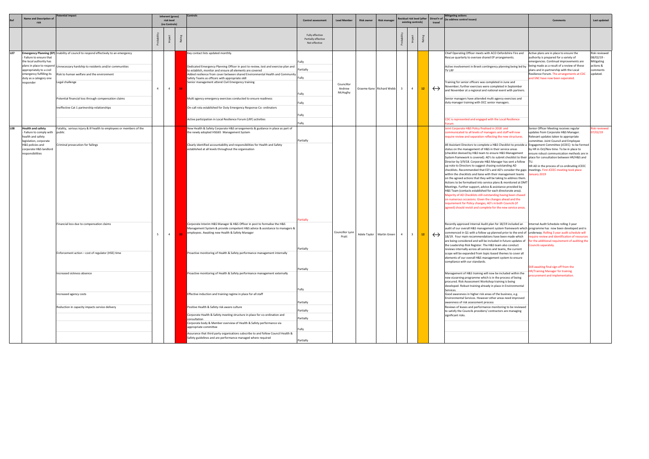| <b>Name and Description of</b><br>esidual risk level (after<br>Direct'n of (to address control issues)<br>risk level<br><b>Risk manager</b><br><b>Control assessment</b><br><b>Lead Member</b><br><b>Risk owner</b><br><b>Comments</b><br>existing controls)<br>risk<br>travel<br>(no Controls)<br>Fully effective<br>Partially effective<br>R <sub>2</sub><br>Not effective<br>L07<br><b>Emergency Planning (EP)</b> Inability of council to respond effectively to an emergency<br>Key contact lists updated monthly.<br>Chief Operating Officer meets with ACO Oxfordshire Fire and<br>Rescue quarterly to oversee shared EP arrangements.<br>Failure to ensure that<br>the local authority has<br>ullv<br>plans in place to respond<br>Active involvement in Brexit contingency planning being led by<br>Unnecessary hardship to residents and/or communities<br>Dedicated Emergency Planning Officer in post to review, test and exercise plan and<br>Partially<br>appropriately to a civil<br>TV LRF<br>to establish, monitor and ensure all elements are covered<br>emergency fulfilling its<br>Risk to human welfare and the environment<br>Added resilience from cover between shared Environmental Health and Community<br>Fully<br>duty as a category one<br>Safety Teams as officers with appropriate skill<br>Legal challenge<br>responder<br>Senior management attend Civil Emergency training<br>raining for senior officers was completed in June and<br>Councillor<br>November; further exercises were completed in September<br>$\overline{4}$<br>$\leftrightarrow$<br>$\overline{4}$<br>12 <sub>1</sub><br>Andrew<br>Graeme Kane Richard Webb<br>$\overline{a}$<br>and November at a regional and national event with partners.<br>McHughy<br>ully<br>Potential financial loss through compensation claims<br>Senior managers have attended multi-agency exercises and<br>Multi agency emergency exercises conducted to ensure readiness<br>duty manager training with OCC senior managers.<br>Fully<br>neffective Cat 1 partnership relationships<br>On-call rota established for Duty Emergency Response Co- ordinators<br>-ully<br>Active participation in Local Resilience Forum (LRF) activities<br>CDC is represented and engaged with the Local Resilience<br>Fully<br>orum<br>LO8<br><b>Health and safety</b><br>Fatality, serious injury & ill health to employees or members of the<br>New Health & Safety Corporate H&S arrangements & guidance in place as part of<br>oint Corporate H&S Policy finalised in 2018 and<br>Failure to comply with public<br>the newly adopted HSG65 Management System<br>communicated to all levels of managers and staff will now<br>health and safety<br>require review and separation reflecting the new structures.<br>Partially<br>legislation, corporate<br>Criminal prosecution for failings<br>Clearly identified accountability and responsibilities for Health and Safety<br>All Assistant Directors to complete a H&S Checklist to provide a<br>H&S policies and<br>established at all levels throughout the organisation<br>status on the management of H&S in their service areas<br>corporate H&S landlord<br>(checklist devised by H&S team to ensure H&S Management<br>responsibilities<br>System framework is covered). AD's to submit checklist to their  place for consultation between HR/H&S and<br>Director by 3/9/18. Corporate H&S Manager has sent a follow TU.<br>up note to Directors to suggest chasing outstanding AD<br>checklists. Recommended that ED's and AD's consider the gaps   meetings. First JCEEC meeting took place<br>within the checklists and liaise with their management teams<br>lanuary 2019<br>on the agreed actions that they will be taking to address them.<br>Actions to be formalised into service plans & monitored at DMT<br>Meetings. Further support, advice & assistance provided by<br>H&S Team (contacts established for each directorate area).<br>Majority of AD Checklists still outstanding having been chased<br>on numerous occasions. Given the changes ahead and the<br>requirement for Policy changes, AD's in both Councils (if<br>agreed) should revisit and complete for the new service areas.<br>artially<br>Financial loss due to compensation claims<br>Corporate Interim H&S Manager & H&S Officer in post to formalise the H&S<br>Recently approved Internal Audit plan for 18/19 included an<br>Management System & provide competent H&S advice & assistance to managers &<br>audit of our overall H&S management system framework which programme has now been developed and is<br>commenced in Q1 with a follow up planned prior to the end of underway. Rolling 3 year audit schedule will<br>employees. Awaiting new Health & Safety Manager<br>Councillor Lynn<br>$\overline{4}$<br>$\leftrightarrow$<br>12 <sub>1</sub><br>Adele Taylor Martin Green<br>$\overline{3}$<br>Pratt<br>18/19. Four main recommendations have been made which<br>are being considered and will be included in future updates of<br>the Leadership Risk Register. The H&S team also conduct<br>Councils separately.<br>Partially<br>reviews internally across all services and teams, the current<br>Enforcement action - cost of regulator (HSE) time<br>Proactive monitoring of Health & Safety performance management internally<br>scope will be expanded from topic-based themes to cover all<br>ments of our overall H&S management system to ensure<br>compliance with our standards.<br>Partially<br>Increased sickness absence<br>Proactive monitoring of Health & Safety performance management externally<br>Management of H&S training will now be included within the<br>new eLearning programme which is in the process of being<br>procured. Risk Assessment Workshop training is being<br>developed. Robust training already in place in Environmental<br>Fully<br>Services.<br>Effective induction and training regime in place for all staff<br>Good awareness in higher risk areas of the business, e.g.<br>Increased agency costs<br>Environmental Services. However other areas need improved<br>awareness of risk assessment process<br>Partially<br>Positive Health & Safety risk aware culture<br>Reviews of leases and performance monitoring to be reviewed<br>Reduction in capacity impacts service delivery<br>Partially<br>to satisfy the Councils providers/contractors are managing |  | otential impact |  | Inherent (gross) | <b>Controls</b> |  |  |  |  | <b>Mitigating actions</b> |                                                                                                                                                                                                                                                                                                                                                                                                                                                                                                                                                                                                                     |                                                                                |
|---------------------------------------------------------------------------------------------------------------------------------------------------------------------------------------------------------------------------------------------------------------------------------------------------------------------------------------------------------------------------------------------------------------------------------------------------------------------------------------------------------------------------------------------------------------------------------------------------------------------------------------------------------------------------------------------------------------------------------------------------------------------------------------------------------------------------------------------------------------------------------------------------------------------------------------------------------------------------------------------------------------------------------------------------------------------------------------------------------------------------------------------------------------------------------------------------------------------------------------------------------------------------------------------------------------------------------------------------------------------------------------------------------------------------------------------------------------------------------------------------------------------------------------------------------------------------------------------------------------------------------------------------------------------------------------------------------------------------------------------------------------------------------------------------------------------------------------------------------------------------------------------------------------------------------------------------------------------------------------------------------------------------------------------------------------------------------------------------------------------------------------------------------------------------------------------------------------------------------------------------------------------------------------------------------------------------------------------------------------------------------------------------------------------------------------------------------------------------------------------------------------------------------------------------------------------------------------------------------------------------------------------------------------------------------------------------------------------------------------------------------------------------------------------------------------------------------------------------------------------------------------------------------------------------------------------------------------------------------------------------------------------------------------------------------------------------------------------------------------------------------------------------------------------------------------------------------------------------------------------------------------------------------------------------------------------------------------------------------------------------------------------------------------------------------------------------------------------------------------------------------------------------------------------------------------------------------------------------------------------------------------------------------------------------------------------------------------------------------------------------------------------------------------------------------------------------------------------------------------------------------------------------------------------------------------------------------------------------------------------------------------------------------------------------------------------------------------------------------------------------------------------------------------------------------------------------------------------------------------------------------------------------------------------------------------------------------------------------------------------------------------------------------------------------------------------------------------------------------------------------------------------------------------------------------------------------------------------------------------------------------------------------------------------------------------------------------------------------------------------------------------------------------------------------------------------------------------------------------------------------------------------------------------------------------------------------------------------------------------------------------------------------------------------------------------------------------------------------------------------------------------------------------------------------------------------------------------------------------------------------------------------------------------------------------------------------------------------------------------------------------------------------------------------------------------------------------------------------------------------------------------------------------------------------------------------------------------------------------------------------------------------------------------------------------------------------------------------------------------------------------------------------------------------------------------------------------------------------------------------------------------------------------------------------------------------------------------------------------------------------------------------------------------------------------------------------------------------------------------------------------------------------------------------------------------------------------------------------------------------------------------------------------------------------------------------------------------------------------------------------------------------------------------------------------------------------|--|-----------------|--|------------------|-----------------|--|--|--|--|---------------------------|---------------------------------------------------------------------------------------------------------------------------------------------------------------------------------------------------------------------------------------------------------------------------------------------------------------------------------------------------------------------------------------------------------------------------------------------------------------------------------------------------------------------------------------------------------------------------------------------------------------------|--------------------------------------------------------------------------------|
|                                                                                                                                                                                                                                                                                                                                                                                                                                                                                                                                                                                                                                                                                                                                                                                                                                                                                                                                                                                                                                                                                                                                                                                                                                                                                                                                                                                                                                                                                                                                                                                                                                                                                                                                                                                                                                                                                                                                                                                                                                                                                                                                                                                                                                                                                                                                                                                                                                                                                                                                                                                                                                                                                                                                                                                                                                                                                                                                                                                                                                                                                                                                                                                                                                                                                                                                                                                                                                                                                                                                                                                                                                                                                                                                                                                                                                                                                                                                                                                                                                                                                                                                                                                                                                                                                                                                                                                                                                                                                                                                                                                                                                                                                                                                                                                                                                                                                                                                                                                                                                                                                                                                                                                                                                                                                                                                                                                                                                                                                                                                                                                                                                                                                                                                                                                                                                                                                                                                                                                                                                                                                                                                                                                                                                                                                                                                                                                                                                                   |  |                 |  |                  |                 |  |  |  |  |                           |                                                                                                                                                                                                                                                                                                                                                                                                                                                                                                                                                                                                                     | Last updated                                                                   |
|                                                                                                                                                                                                                                                                                                                                                                                                                                                                                                                                                                                                                                                                                                                                                                                                                                                                                                                                                                                                                                                                                                                                                                                                                                                                                                                                                                                                                                                                                                                                                                                                                                                                                                                                                                                                                                                                                                                                                                                                                                                                                                                                                                                                                                                                                                                                                                                                                                                                                                                                                                                                                                                                                                                                                                                                                                                                                                                                                                                                                                                                                                                                                                                                                                                                                                                                                                                                                                                                                                                                                                                                                                                                                                                                                                                                                                                                                                                                                                                                                                                                                                                                                                                                                                                                                                                                                                                                                                                                                                                                                                                                                                                                                                                                                                                                                                                                                                                                                                                                                                                                                                                                                                                                                                                                                                                                                                                                                                                                                                                                                                                                                                                                                                                                                                                                                                                                                                                                                                                                                                                                                                                                                                                                                                                                                                                                                                                                                                                   |  |                 |  |                  |                 |  |  |  |  |                           |                                                                                                                                                                                                                                                                                                                                                                                                                                                                                                                                                                                                                     |                                                                                |
|                                                                                                                                                                                                                                                                                                                                                                                                                                                                                                                                                                                                                                                                                                                                                                                                                                                                                                                                                                                                                                                                                                                                                                                                                                                                                                                                                                                                                                                                                                                                                                                                                                                                                                                                                                                                                                                                                                                                                                                                                                                                                                                                                                                                                                                                                                                                                                                                                                                                                                                                                                                                                                                                                                                                                                                                                                                                                                                                                                                                                                                                                                                                                                                                                                                                                                                                                                                                                                                                                                                                                                                                                                                                                                                                                                                                                                                                                                                                                                                                                                                                                                                                                                                                                                                                                                                                                                                                                                                                                                                                                                                                                                                                                                                                                                                                                                                                                                                                                                                                                                                                                                                                                                                                                                                                                                                                                                                                                                                                                                                                                                                                                                                                                                                                                                                                                                                                                                                                                                                                                                                                                                                                                                                                                                                                                                                                                                                                                                                   |  |                 |  |                  |                 |  |  |  |  |                           | Active plans are in place to ensure the<br>authority is prepared for a variety of<br>emergencies. Continual improvements are<br>being made as a result of a review of these<br>plans and in partnership with the Local<br>Resilience Forum. The arrangements at CDC<br>and SNC have now been seperated.                                                                                                                                                                                                                                                                                                             | Risk reviewed<br>08/02/19 -<br>Mitigating<br>actions &<br>comments<br>updated. |
| Corporate Health & Safety meeting structure in place for co-ordination and<br>significant risks.<br>Partially<br>consultation<br>Corporate body & Member overview of Health & Safety performance via<br>appropriate committee<br>Fully<br>Assurance that third party organisations subscribe to and follow Council Health &                                                                                                                                                                                                                                                                                                                                                                                                                                                                                                                                                                                                                                                                                                                                                                                                                                                                                                                                                                                                                                                                                                                                                                                                                                                                                                                                                                                                                                                                                                                                                                                                                                                                                                                                                                                                                                                                                                                                                                                                                                                                                                                                                                                                                                                                                                                                                                                                                                                                                                                                                                                                                                                                                                                                                                                                                                                                                                                                                                                                                                                                                                                                                                                                                                                                                                                                                                                                                                                                                                                                                                                                                                                                                                                                                                                                                                                                                                                                                                                                                                                                                                                                                                                                                                                                                                                                                                                                                                                                                                                                                                                                                                                                                                                                                                                                                                                                                                                                                                                                                                                                                                                                                                                                                                                                                                                                                                                                                                                                                                                                                                                                                                                                                                                                                                                                                                                                                                                                                                                                                                                                                                                       |  |                 |  |                  |                 |  |  |  |  |                           | Senior Officer Meeting receives regular<br>updates from Corporate H&S Manager.<br>Relevant updates taken to appropriate<br>committee. Joint Council and Employee<br>Engagement Committee (JCEEC) to be formed<br>by HR in Oct/Nov time. To be in place to<br>ensure robust communication methods are in<br>HR AD in the process of co-ordinating JCEEC<br>Internal Audit Schedule rolling 3 year<br>equire review and identification of resources<br>for the additional requirement of auditing the<br>Still awaiting final sign off from the<br>HR/Training Manager for training<br>rocurement and implementation. | isk reviewed<br>7/02/19                                                        |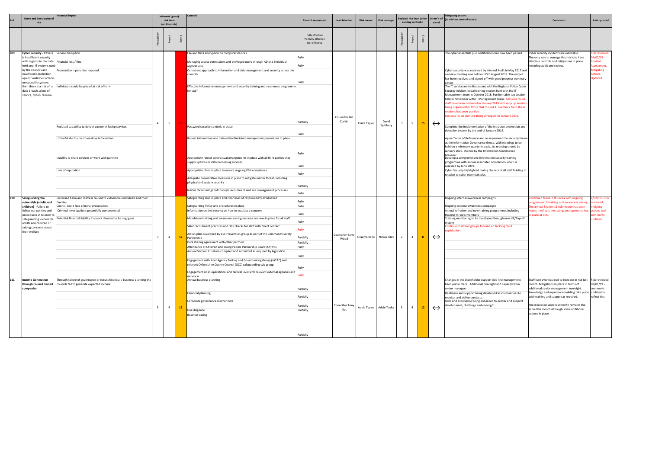|                        | <b>Name and Description of</b><br>risk                                                                                                                                                                                                                                                                                     | tential impact                                                                                                                                                                                                                                                                                                                                                               | Controls<br>Inherent (gross)<br>risk level<br><b>Control assessment</b><br>(no Controls) |                                  |          | <b>Lead Member</b>                                                                                                                                                                                                                                                                                                                                                                                                                                                                                                                                                                                                                                                                                                                                                                                                                                                                                                                                                                                                                        | <b>Risk owner</b>                                                                                                                                          | <b>Risk manager</b>                                  |                             |                              | esidual risk level (after<br>existing controls) | Direct'n of<br>travel            | <b>Mitigating actions</b><br>(to address control issues) | <b>Comments</b>                        | Last updated                                                                                                                                                                                                                                                                                                                                                                                                                                                                                                                                                                                                                                                                                                                                                                                                                                                                                                                                                                                                                                                                                                                                                                                                                                                                                                                                                                        |                                                                                                                                                                                                                                                                                                                                                                                                                                                                                                                                                                       |                                                                                                                                           |
|------------------------|----------------------------------------------------------------------------------------------------------------------------------------------------------------------------------------------------------------------------------------------------------------------------------------------------------------------------|------------------------------------------------------------------------------------------------------------------------------------------------------------------------------------------------------------------------------------------------------------------------------------------------------------------------------------------------------------------------------|------------------------------------------------------------------------------------------|----------------------------------|----------|-------------------------------------------------------------------------------------------------------------------------------------------------------------------------------------------------------------------------------------------------------------------------------------------------------------------------------------------------------------------------------------------------------------------------------------------------------------------------------------------------------------------------------------------------------------------------------------------------------------------------------------------------------------------------------------------------------------------------------------------------------------------------------------------------------------------------------------------------------------------------------------------------------------------------------------------------------------------------------------------------------------------------------------------|------------------------------------------------------------------------------------------------------------------------------------------------------------|------------------------------------------------------|-----------------------------|------------------------------|-------------------------------------------------|----------------------------------|----------------------------------------------------------|----------------------------------------|-------------------------------------------------------------------------------------------------------------------------------------------------------------------------------------------------------------------------------------------------------------------------------------------------------------------------------------------------------------------------------------------------------------------------------------------------------------------------------------------------------------------------------------------------------------------------------------------------------------------------------------------------------------------------------------------------------------------------------------------------------------------------------------------------------------------------------------------------------------------------------------------------------------------------------------------------------------------------------------------------------------------------------------------------------------------------------------------------------------------------------------------------------------------------------------------------------------------------------------------------------------------------------------------------------------------------------------------------------------------------------------|-----------------------------------------------------------------------------------------------------------------------------------------------------------------------------------------------------------------------------------------------------------------------------------------------------------------------------------------------------------------------------------------------------------------------------------------------------------------------------------------------------------------------------------------------------------------------|-------------------------------------------------------------------------------------------------------------------------------------------|
|                        |                                                                                                                                                                                                                                                                                                                            |                                                                                                                                                                                                                                                                                                                                                                              |                                                                                          |                                  |          |                                                                                                                                                                                                                                                                                                                                                                                                                                                                                                                                                                                                                                                                                                                                                                                                                                                                                                                                                                                                                                           | Fully effective<br>Partially effective<br>Not effective                                                                                                    |                                                      |                             |                              |                                                 |                                  |                                                          |                                        |                                                                                                                                                                                                                                                                                                                                                                                                                                                                                                                                                                                                                                                                                                                                                                                                                                                                                                                                                                                                                                                                                                                                                                                                                                                                                                                                                                                     |                                                                                                                                                                                                                                                                                                                                                                                                                                                                                                                                                                       |                                                                                                                                           |
| L09                    | Cyber Security - If there Service disruption<br>is insufficient security<br>with regards to the data<br>held and IT systems used<br>by the councils and<br>insufficient protection<br>against malicious attacks<br>on council's systems<br>then there is a risk of: a<br>data breach, a loss of<br>service, cyber- ransom. | Financial loss / fine<br>Prosecution – penalties imposed<br>Individuals could be placed at risk of harm<br>Reduced capability to deliver customer facing services<br>Unlawful disclosure of sensitive information<br>Inability to share services or work with partners<br>Loss of reputation                                                                                 | $\overline{4}$                                                                           | 5 <sup>5</sup>                   |          | File and Data encryption on computer devices<br>Managing access permissions and privileged users through AD and individual<br>applications<br>Consistent approach to information and data management and security across the<br>councils<br>Effective information management and security training and awareness programme<br>for staff<br>Password security controls in place<br>Robust information and data related incident management procedures in place<br>Appropriate robust contractual arrangements in place with all third parties that<br>supply systems or data processing services<br>Appropriate plans in place to ensure ongoing PSN compliance<br>Adequate preventative measures in place to mitigate insider threat, including<br>physical and system security<br>Insider threat mitigated through recruitment and line management processes                                                                                                                                                                             | Fully<br>Fully<br>ully:<br>Partially<br>-ully<br>Fully<br>Fully<br>Fully<br>Partially<br>Fully                                                             | Councillor Ian<br>Corkin                             | Claire Taylor               | David<br>Spilsbury           |                                                 | 5                                | 15                                                       | $\leftrightarrow$                      | The cyber-essentials plus certification has now been passed.<br>Cyber-security was reviewed by Internal Audit in May 2017 and<br>a review meeting was held on 30th August 2018. The output<br>has been received and signed off with good progress summary<br>The IT service are in discussions with the Regional Police Cyber<br>Security Advisor. Initial training session held with the IT<br>Management team in October 2018. Further table top session<br>held in November with IT Management Team. Sessions for all<br>staff have been delivered in January 2019 with mop up sessior<br>being organised for those that missed it. Feedback from these<br>essions has been positive.<br>essions for all staff are being arranged for January 2019.<br>Complete the implementation of the intrusion prevention and<br>detection system by the end of January 2019.<br>Agree Terms of Reference and re-implement the security forum<br>as the Information Governance Group, with meetings to be<br>held on a minimum quarterly basis. 1st meeting should be<br>January 2019, chaired by the Information Governance<br>Manager<br>Develop a comprehensive information security training<br>programme with annual mandated completion which is<br>assessed by June 2019.<br>Cyber Security highlighted during the recent all staff briefing in<br>relation to cyber essentials plus | Cyber security incidents are inevitable.<br>The only way to manage this risk is to have<br>effective controls and mitigations in place<br>including audit and review.                                                                                                                                                                                                                                                                                                                                                                                                 | isk reviewed<br>5/02/19 -<br>ontrol<br>ssessment<br><b>Mitigating</b><br>ctions<br>pdated.                                                |
| L <sub>10</sub><br>L11 | Safeguarding the<br>vulnerable (adults and<br>children) - Failure to<br>follow our policies and<br>procedures in relation to<br>safeguarding vulnerable<br>adults and children or<br>raising concerns about<br>their welfare<br><b>Income Generation</b><br>through council owned<br>companies                             | ncreased harm and distress caused to vulnerable individuals and their<br>amilies<br>Council could face criminal prosecution<br>Criminal investigations potentially compromised<br>otential financial liability if council deemed to be negligent'<br>Through failure of governance or robust financial / business planning the<br>councils fail to generate expected income. | $\mathbf{R}$<br>$\overline{\mathbf{3}}$                                                  | $\overline{4}$<br>$\overline{4}$ | 12<br>12 | Safeguarding lead in place and clear lines of responsibility established<br>Safeguarding Policy and procedures in place<br>Information on the intranet on how to escalate a concern<br>Mandatory training and awareness raising sessions are now in place for all staff.<br>Safer recruitment practices and DBS checks for staff with direct contact<br>Action plan developed by CSE Prevention group as part of the Community Safety<br>Partnership<br>Data sharing agreement with other partners<br>Attendance at Children and Young People Partnership Board (CYPPB)<br>Annual Section 11 return compiled and submitted as required by legislation.<br>Engagement with Joint Agency Tasking and Co-ordinating Group (JATAC) and<br>relevant Oxfordshire County Council (OCC) safeguarding sub group<br>Engagement at an operational and tactical level with relevant external agencies and<br>networks<br>Annual business planning<br>Financial planning<br>Corporate governance mechanisms<br>Due diligence<br><b>Business casing</b> | Fully<br>Fully<br>Fully<br>Fully<br>ully:<br>Partially<br>Partially<br>Fully<br>Fully<br>Fully<br>ully<br>Partially<br>Partially<br>Partially<br>Partially | Councillor Barry<br>Wood<br>Councillor Tony<br>Illot | Graeme Kane<br>Adele Taylor | Nicola Riley<br>Adele Taylor | $\overline{2}$<br>$\overline{\mathbf{3}}$       | $\overline{4}$<br>$\overline{4}$ | -8<br>12                                                 | $\leftrightarrow$<br>$\leftrightarrow$ | Ongoing internal awareness campaigns<br>Ongoing external awareness campaigns<br>Annual refresher and new training programmes including<br>training for new members<br>Training monitoring to be developed through new HR/Payroll<br>ontinue to attend groups focused on tackling child<br>cploitation<br>Changes in the shareholder support side line management<br>been put in place. Additional oversight and capacity from<br>senior managers<br>Resilience and support being developed across business to<br>monitor and deliver projects.<br>Skills and experience being enhanced to deliver and support<br>development, challenge and oversight.                                                                                                                                                                                                                                                                                                                                                                                                                                                                                                                                                                                                                                                                                                                              | ontinued focus in this area with ongoing<br>rogramme of training and awareness raising.<br>he annual Section 11 submission has been<br>nade; it reflects the strong arrangements that<br>place at CDC.<br>Staff turn over has lead to increase in risk last<br>month. Mitigations in place in terms of<br>additional senior management oversight.<br>Knowledge and experience building take place updated to<br>with training and support as required.<br>The increased score last month remains the<br>same this month although some additional<br>actions in place. | 02/19 - Risk<br>eviewed,<br>itigting<br>actions and<br><b>mments</b><br>dated<br>Risk reviewed<br>08/01/19 -<br>comments<br>reflect this. |
|                        |                                                                                                                                                                                                                                                                                                                            |                                                                                                                                                                                                                                                                                                                                                                              |                                                                                          |                                  |          |                                                                                                                                                                                                                                                                                                                                                                                                                                                                                                                                                                                                                                                                                                                                                                                                                                                                                                                                                                                                                                           | Partially                                                                                                                                                  |                                                      |                             |                              |                                                 |                                  |                                                          |                                        |                                                                                                                                                                                                                                                                                                                                                                                                                                                                                                                                                                                                                                                                                                                                                                                                                                                                                                                                                                                                                                                                                                                                                                                                                                                                                                                                                                                     |                                                                                                                                                                                                                                                                                                                                                                                                                                                                                                                                                                       |                                                                                                                                           |